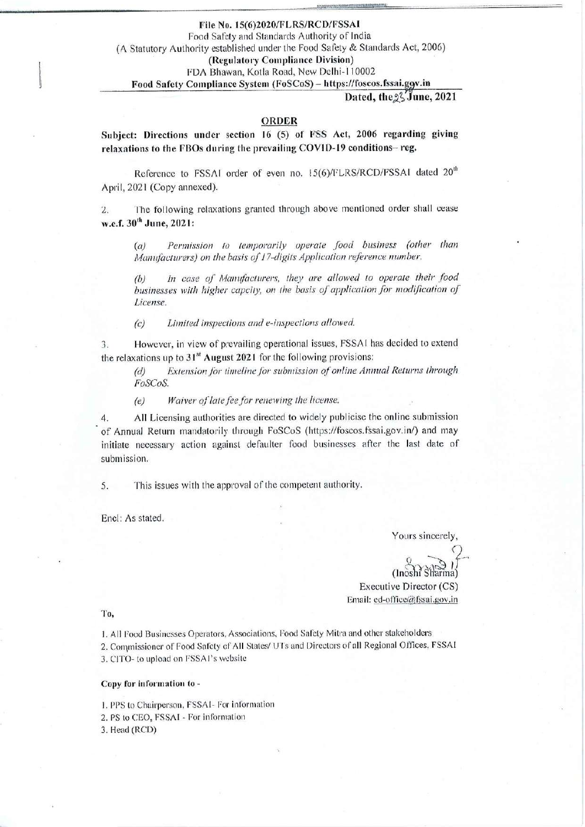File No. 15(6)2020/FLRS/RCD/FSSAI Food Safety and Standards Authority of India (A Statutory Authority established under the Food Safety & Standards Act, 2006) (Regulatory Compliance Division) FDA Bhawan, Kotla Road, New Delhi-110002

### Food Safety Compliance System (FoSCoS) - https://foscos.fssai.ggv.in

#### Dated, the % June, 2021

## ORDER

Subject: Directions under section 16 (5) of FSS Act, 2006 regarding giving relaxations to the FBOs during the prevailing COVID-19 conditions-reg.

Reference to FSSAI order of even no. 15(6)/FLRS/RCD/FSSAI dated 20<sup>th</sup> April, 2021 (Copy annexed).

The following relaxations granted through above mentioned order shall cease  $2.$ w.e.f. 30<sup>th</sup> June, 2021:

Permission to temporarily operate food business (other than  $(a)$ Manufacturers) on the basis of 17-digits Application reference number.

In case of Manufacturers, they are allowed to operate their food  $(b)$ businesses with higher capcity, on the basis of application for modification of License.

Limited inspections and e-inspections allowed.  $(c)$ 

However, in view of prevailing operational issues, FSSAI has decided to extend 3. the relaxations up to 31<sup>st</sup> August 2021 for the following provisions:

Extension for timeline for submission of online Annual Returns through  $(d)$ FoSCoS.

Waiver of late fee for renewing the license.  $(e)$ 

All Licensing authorities are directed to widely publicise the online submission 4. of Annual Return mandatorily through FoSCoS (https://foscos.fssai.gov.in/) and may initiate necessary action against defaulter food businesses after the last date of submission.

This issues with the approval of the competent authority. 5.

Encl: As stated.

Yours sincerely,

 $(Inosh' S)$ 

Executive Director (CS) Email: ed-office@fssai.gov.in

To,

1. All Food Businesses Operators, Associations, Food Safety Mitra and other stakeholders 2. Commissioner of Food Safety of All States/ UTs and Directors of all Regional Offices, FSSAI 3. CITO- to upload on FSSA1's website

## Copy for information to -

1. PPS to Chairperson, FSSA1- For information 2. PS to CEO, FSSAI - For information 3. Head (RCD)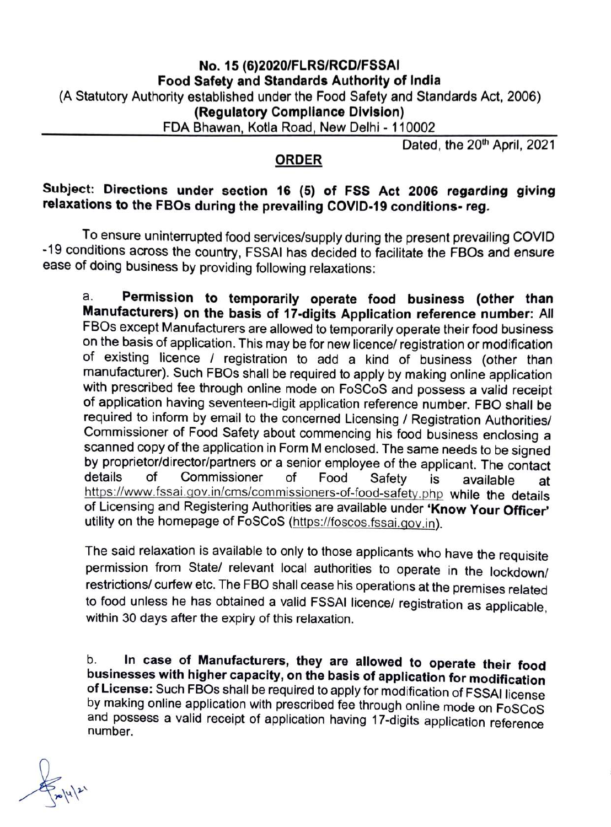# No. 15 (6)2020/FLRS/RCD/FSSAI Food Safety and Standards Authority of India (A Statutory Authority established under the Food Safety and Standards Act, 2006) (Regulatory Compliance Division) FDA Bhawan, Kotla Road, New Delhi - 110002

Dated, the 20<sup>th</sup> April, 2021

# ORDER

# Subject: Directions under section 16 (5) of FSs Act 2006 regarding giving relaxations to the FBOs during the prevailing COVID-19 conditions-reg.

To ensure uninterrupted food services/supply during the present prevailing COVID 19 conditions across the country, FSSAI has decided to facilitate the FBOs and ensure ease of doing business by providing following relaxations:

Permission to temporarily operate food business (other than Manufacturers) on the basis of 17-digits Application reference number: All FBOs except Manufacturers are allowed to temporarily operate their food business on the basis of application. This may be for new licence/ registration or modification of existing licence / registration to add a kind of business (other than manufacturer). Such FBOs shall be required to apply by making online application with prescribed fee through online mode on FosCoS and possess a valid receipt of application having seventeen-digit application reference number. FBO shall be required to inform by email to the concerned Licensing / Registration Authorities/ Commissioner of Food Safety about commencing his food business enclosing a scanned copy of the application in Form M enclosed. The same needs to be signed by proprietor/director/partners or a senior employee of the applicant. The contact of a. details of Commissioner of Food Safety is available at https://www.fssai.gov.in/cms/commissioners-of-food-safety.php while the details of Licensing and Registering Authorities are available under "Know Your Officer utility on the homepage of FoSCoS (https:/foscos.fssai.gov.in).

The said relaxation is available to only to those applicants who have the requisite permission from State/ relevant local authorities to operate in the lockdown/ restrictions/ curfew etc. The FBO shall cease his operations at the premises related to food unless he has obtained a valid FSSAI licence/ registration as applicable, within 30 days after the expiry of this relaxation.

b. In case of Manufacturers, they are allowed to operate their food businesses with higher capacity, on the basis of application for modification of License: Such FBOs shall be required to apply for modification of FSSAI l and possess a valid receipt of application having 17-digits application reference number.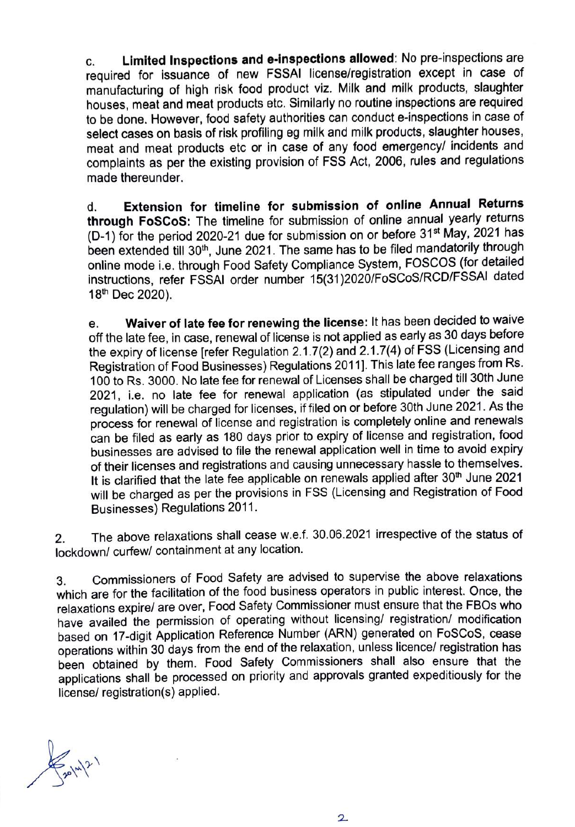c. Limited Inspections and e-inspections allowed: No pre-inspections are required for issuance of new FSSAI license/registration except in case of manufacturing of high risk food product viz. Milk and milk products, slaughter houses, meat and meat products etc. Similarly no routine inspections are required to be done. However, food safety authorities can conduct e-inspections in case of select cases on basis of risk profiling eg milk and milk products, slaughter houses, meat and meat products etc or in case of any food emergency/ incidents and complaints as per the existing provision of FSS Act, 2006, rules and regulations made thereunder.

Extension for timeline for submission of online Annual Returns through FoSCoS: The timeline for submission of online annual yearly returns (D-1) for the period 2020-21 due for submission on or before 31<sup>st</sup> May, 2021 has been extended till 30<sup>th</sup>, June 2021. The same has to be filed mandatorily through online mode i.e. through Food Safety Compliance System, FOSCOS (for detailed instructions, refer FSSAI order number 15(31)2020/FoSCoS/RCD/FSSAI dated 18th Dec 2020). d.

Waiver of late fee for renewing the license: It has been decided to waive off the late fee, in case, renewal of license is not applied as early as 30 days before the expiry of license [refer Regulation 2.1.7(2) and 2.1.7(4) of FSS (Licensing and Registration of Food Businesses) Regulations 2011]. This late fee ranges from Rs. 100 to Rs. 3000. No late fee for renewal of Licenses shall be charged till 30th June 2021, i.e. no late fee for renewal application (as stipulated under the said regulation) will be charged for licenses, if filed on or before 30th June 2021. As the process for renewal of license and registration is completely online and renewals can be filed as early as 180 days prior to expiry of license and registration, food businesses are advised to file the renewal application well in time to avoid expiry of their licenses and registrations and causing unnecessary hassle to themselves. It is clarified that the late fee applicable on renewals applied after 30<sup>th</sup> June 2021 will be charged as per the provisions in FSS (Licensing and Registration of Food Businesses) Regulations 2011. e.

The above relaxations shall cease w.e.f. 30.06.2021 irrespective of the status of lockdown/ curfew/ containment at any location. 2.

3. Commissioners of Food Safety are advised to supervise the above relaxations which are for the facilitation of the food business operators in public interest. Once, the relaxations expire/ are over, Food Safety Commissioner must ensure that the FB0s who have availed the permission of operating without licensing/ registration/ modification based on 17-digit Application Reference Number (ARN) generated on FosCoS, oease operations within 30 days from the end of the relaxation, unless licence/ registration has been obtained by them. Food Safety Commissioners shall also ensure that the applications shall be processed on priority and approvals granted expeditiously for the licensel registration(s) applied.

 $\frac{1}{20}|x|^{2}$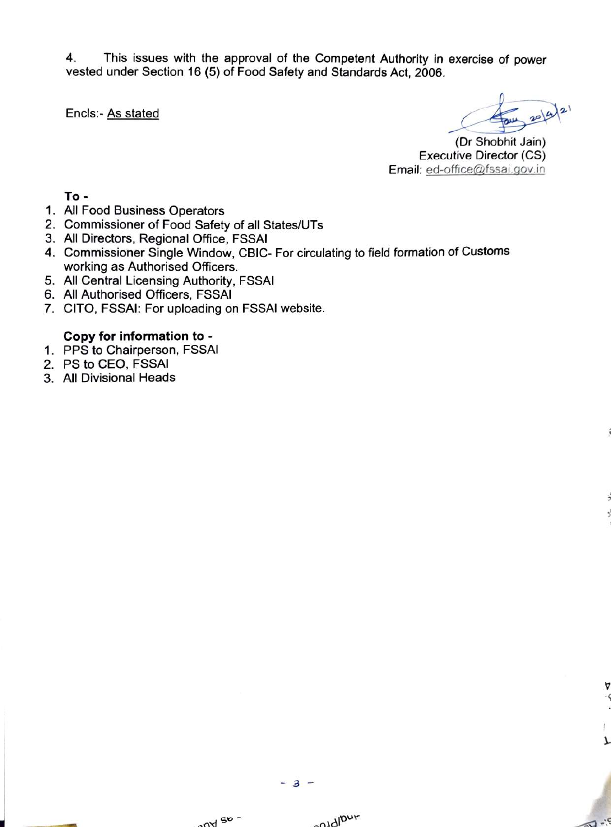4. This issues with the approval of the Competent Authority in exercise of power vested under Section 16 (5) of Food Safety and Standards Act, 2006.

Encls:- As stated

 $\sqrt{1 - \frac{c}{c^2}}$ 

(Dr Shobhit Jain) Executive Director (CS) Email: ed-office@fssai.gov.in

To -

- 1. All Food Business Operators
- 2. Commissioner of Food Safety of all States/UTs
- 3. All Directors, Regional Office, FSSAI
- 4. Commissioner Single Window, CBIC-For circulating to field formation of Customs working as Authorised Officers.
- 5. All Central Licensing Authority, FSSAI
- 6. All Authorised Officers, FSSAI
- 7. CITO, FSSAI: For uploading on FSSAI website.

## Copy for information to -

- 1. PPS to Chairperson, FSSAI
- 2. PS to CEO, FSSAI
- 3. All Divisional Heads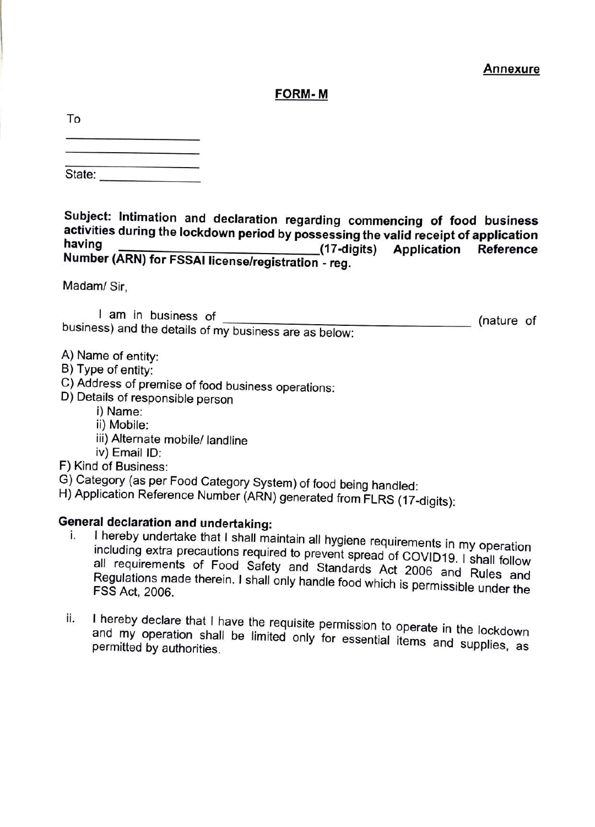## FORM-M

| To |  |  |  |
|----|--|--|--|
|    |  |  |  |
|    |  |  |  |

| State: |  |  |
|--------|--|--|

Subject: Intimation and declaration regarding commencing of food business activities during the lockdown period by possessing the valid receipt of application having Number (ARN) for FSSAI license/registration - reg. Application Reference

Madam/ Sir,

am in businesS of (nature of business) and the details of my business are as below

- A) Name of entity:
- B) Type of entity:
- C) Address of premise of food business operations: D) Details of responsible person
- - i) Name:
	- ii) Mobile:
	- iii) Alternate mobile/ landline
	- iv) Email ID:

F) Kind of Business:

- G) Category (as per Food Category System) of food being handled:
- H) Application Reference Number (ARN) generated from FLRS (17-digits):

- General declaration and undertaking:<br>i. I hereby undertake that I shall maintain all hygiene requirements in my operation all requirements<br>Regulations made including extra precautions required to prevent spread of COvID19. I shall follow Regulations made therein. I shall only handle food which is permissible under the<br>FSS Act, 2006.
	- ii. I hereby declare that I have the requisite permission to operate in the lockdown and my operation shall be limited only for essential items and supplies, as permitted by authorities.